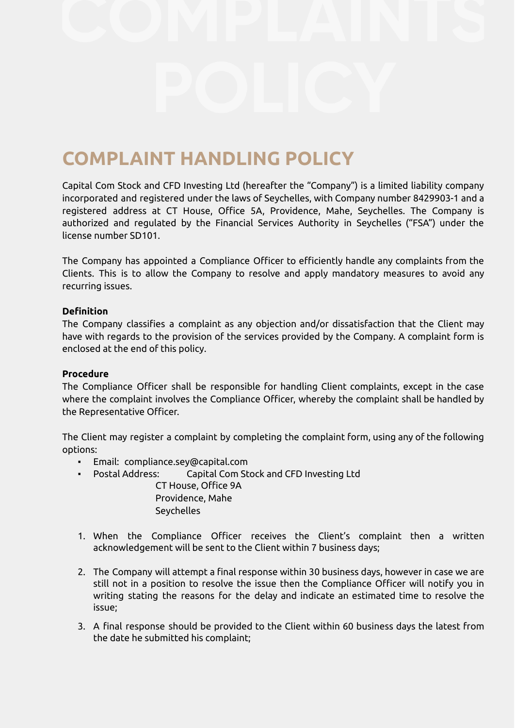# **COMPLAINT HANDLING POLICY**

Capital Com Stock and CFD Investing Ltd (hereafter the "Company") is a limited liability company incorporated and registered under the laws of Seychelles, with Company number 8429903-1 and a registered address at CT House, Office 5A, Providence, Mahe, Seychelles. The Company is authorized and regulated by the Financial Services Authority in Seychelles ("FSA") under the license number SD101.

The Company has appointed a Compliance Officer to efficiently handle any complaints from the Clients. This is to allow the Company to resolve and apply mandatory measures to avoid any recurring issues.

#### **Definition**

The Company classifies a complaint as any objection and/or dissatisfaction that the Client may have with regards to the provision of the services provided by the Company. A complaint form is enclosed at the end of this policy.

#### **Procedure**

The Compliance Officer shall be responsible for handling Client complaints, except in the case where the complaint involves the Compliance Officer, whereby the complaint shall be handled by the Representative Officer.

The Client may register a complaint by completing the complaint form, using any of the following options:

- Email: compliance.sey@capital.com
	- Postal Address: Capital Com Stock and CFD Investing Ltd CT House, Office 9A Providence, Mahe Seychelles
- 1. When the Compliance Officer receives the Client's complaint then a written acknowledgement will be sent to the Client within 7 business days;
- 2. The Company will attempt a final response within 30 business days, however in case we are still not in a position to resolve the issue then the Compliance Officer will notify you in writing stating the reasons for the delay and indicate an estimated time to resolve the issue;
- 3. A final response should be provided to the Client within 60 business days the latest from the date he submitted his complaint;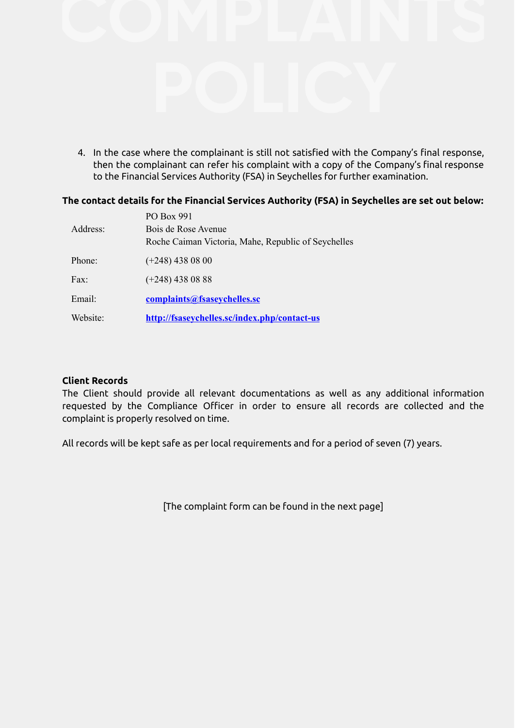

4. In the case where the complainant is still not satisfied with the Company's final response, then the complainant can refer his complaint with a copy of the Company's final response to the Financial Services Authority (FSA) in Seychelles for further examination.

## **The contact details for the Financial Services Authority (FSA) in Seychelles are set out below:**

| Address: | PO Box 991<br>Bois de Rose Avenue<br>Roche Caiman Victoria, Mahe, Republic of Seychelles |
|----------|------------------------------------------------------------------------------------------|
|          |                                                                                          |
| Phone:   | $(+248)$ 438 08 00                                                                       |
| Fax:     | $(+248)$ 438 08 88                                                                       |
| Email:   | complaints@fsaseychelles.sc                                                              |
| Website: | http://fsaseychelles.sc/index.php/contact-us                                             |

#### **Client Records**

The Client should provide all relevant documentations as well as any additional information requested by the Compliance Officer in order to ensure all records are collected and the complaint is properly resolved on time.

All records will be kept safe as per local requirements and for a period of seven (7) years.

[The complaint form can be found in the next page]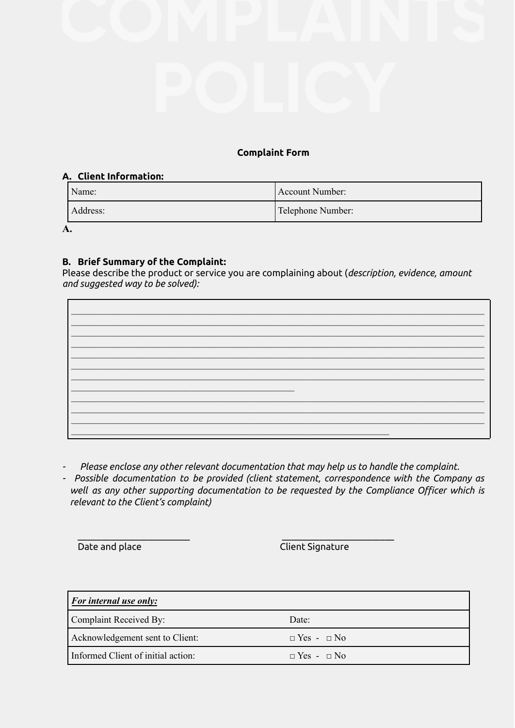## **Complaint Form**

### **A. Client Information:**

| Name:    | Account Number:   |
|----------|-------------------|
| Address: | Telephone Number: |

**A.**

## **B. Brief Summary of the Complaint:**

Please describe the product or service you are complaining about (*description, evidence, amount and suggested way to be solved):*

*- Please enclose any other relevant documentation that may help us to handle the complaint.*

\_\_\_\_\_\_\_\_\_\_\_\_\_\_\_\_\_\_\_\_\_\_\_\_ \_\_\_\_\_\_\_\_\_\_\_\_\_\_\_\_\_\_\_\_\_\_\_\_

*- Possible documentation to be provided (client statement, correspondence with the Company as well as any other supporting documentation to be requested by the Compliance Officer which is relevant to the Client's complaint)*

**Date and place Client Signature** 

| <i>For internal use only:</i>      |                        |  |  |
|------------------------------------|------------------------|--|--|
| Complaint Received By:             | Date:                  |  |  |
| Acknowledgement sent to Client:    | $\Box$ Yes - $\Box$ No |  |  |
| Informed Client of initial action: | $\Box$ Yes - $\Box$ No |  |  |